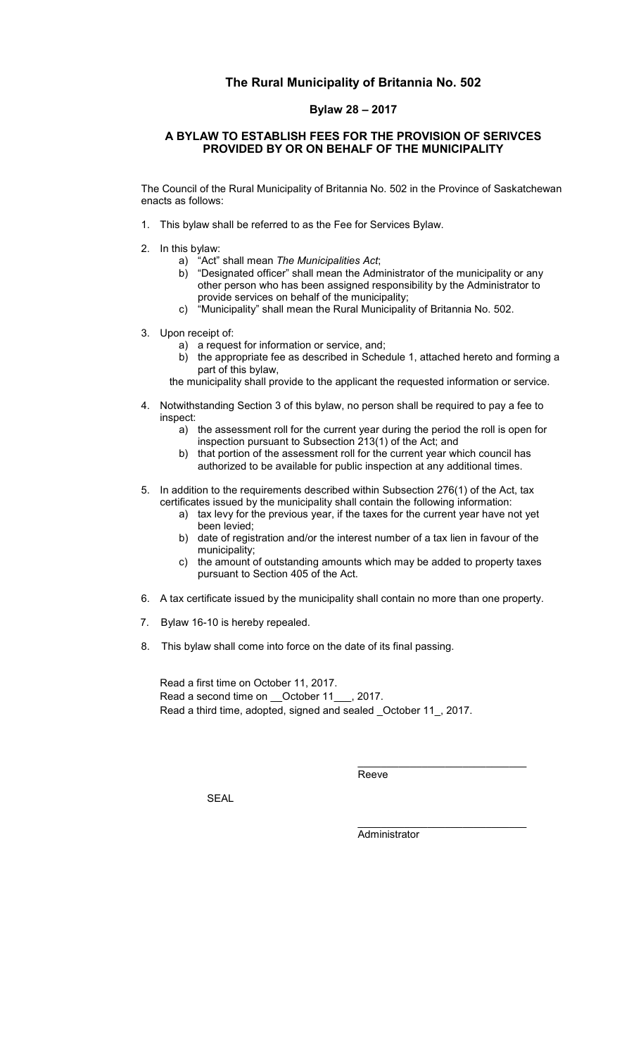## **The Rural Municipality of Britannia No. 502**

## **Bylaw 28 – 2017**

## **A BYLAW TO ESTABLISH FEES FOR THE PROVISION OF SERIVCES PROVIDED BY OR ON BEHALF OF THE MUNICIPALITY**

The Council of the Rural Municipality of Britannia No. 502 in the Province of Saskatchewan enacts as follows:

- 1. This bylaw shall be referred to as the Fee for Services Bylaw.
- 2. In this bylaw:
	- a) "Act" shall mean *The Municipalities Act*;
	- b) "Designated officer" shall mean the Administrator of the municipality or any other person who has been assigned responsibility by the Administrator to provide services on behalf of the municipality;
	- c) "Municipality" shall mean the Rural Municipality of Britannia No. 502.
- 3. Upon receipt of:
	- a) a request for information or service, and;<br>b) the appropriate fee as described in Sche
	- the appropriate fee as described in Schedule 1, attached hereto and forming a part of this bylaw,

the municipality shall provide to the applicant the requested information or service.

- 4. Notwithstanding Section 3 of this bylaw, no person shall be required to pay a fee to inspect:
	- a) the assessment roll for the current year during the period the roll is open for inspection pursuant to Subsection 213(1) of the Act; and
	- b) that portion of the assessment roll for the current year which council has authorized to be available for public inspection at any additional times.
- 5. In addition to the requirements described within Subsection 276(1) of the Act, tax certificates issued by the municipality shall contain the following information:
	- a) tax levy for the previous year, if the taxes for the current year have not yet been levied;
	- b) date of registration and/or the interest number of a tax lien in favour of the municipality;
	- c) the amount of outstanding amounts which may be added to property taxes pursuant to Section 405 of the Act.
- 6. A tax certificate issued by the municipality shall contain no more than one property.
- 7. Bylaw 16-10 is hereby repealed.
- 8. This bylaw shall come into force on the date of its final passing.

Read a first time on October 11, 2017. Read a second time on \_\_October 11\_\_\_, 2017. Read a third time, adopted, signed and sealed \_October 11\_, 2017.

**Reeve** 

SEAL

**Administrator** 

\_\_\_\_\_\_\_\_\_\_\_\_\_\_\_\_\_\_\_\_\_\_\_\_\_\_\_\_\_

\_\_\_\_\_\_\_\_\_\_\_\_\_\_\_\_\_\_\_\_\_\_\_\_\_\_\_\_\_